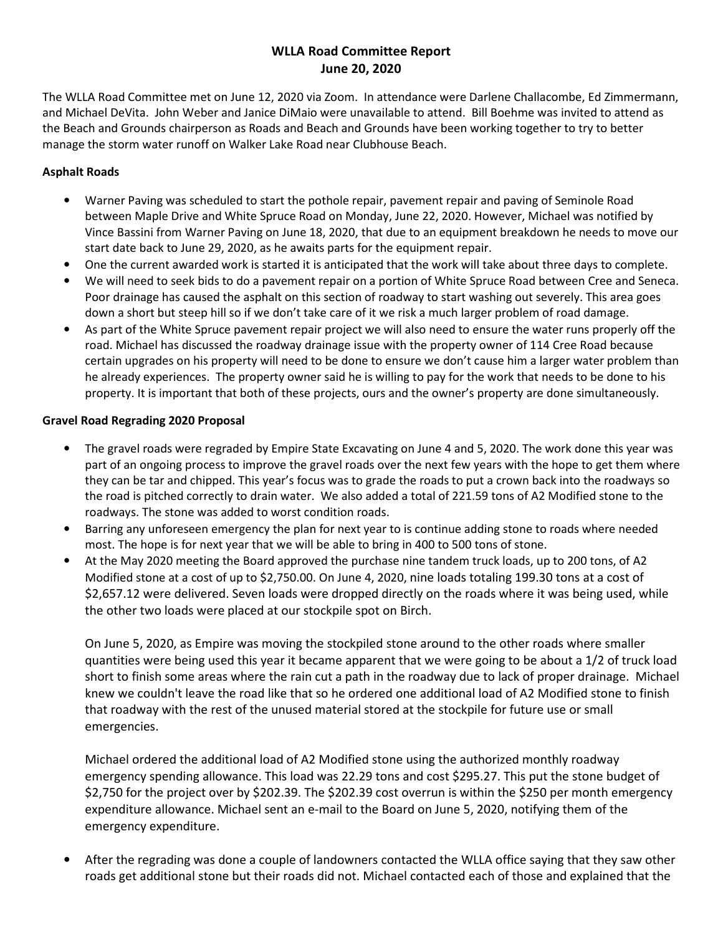# WLLA Road Committee Report June 20, 2020

The WLLA Road Committee met on June 12, 2020 via Zoom. In attendance were Darlene Challacombe, Ed Zimmermann, and Michael DeVita. John Weber and Janice DiMaio were unavailable to attend. Bill Boehme was invited to attend as the Beach and Grounds chairperson as Roads and Beach and Grounds have been working together to try to better manage the storm water runoff on Walker Lake Road near Clubhouse Beach.

## Asphalt Roads

- Warner Paving was scheduled to start the pothole repair, pavement repair and paving of Seminole Road between Maple Drive and White Spruce Road on Monday, June 22, 2020. However, Michael was notified by Vince Bassini from Warner Paving on June 18, 2020, that due to an equipment breakdown he needs to move our start date back to June 29, 2020, as he awaits parts for the equipment repair.
- One the current awarded work is started it is anticipated that the work will take about three days to complete.
- We will need to seek bids to do a pavement repair on a portion of White Spruce Road between Cree and Seneca. Poor drainage has caused the asphalt on this section of roadway to start washing out severely. This area goes down a short but steep hill so if we don't take care of it we risk a much larger problem of road damage.
- As part of the White Spruce pavement repair project we will also need to ensure the water runs properly off the road. Michael has discussed the roadway drainage issue with the property owner of 114 Cree Road because certain upgrades on his property will need to be done to ensure we don't cause him a larger water problem than he already experiences. The property owner said he is willing to pay for the work that needs to be done to his property. It is important that both of these projects, ours and the owner's property are done simultaneously.

#### Gravel Road Regrading 2020 Proposal

- The gravel roads were regraded by Empire State Excavating on June 4 and 5, 2020. The work done this year was part of an ongoing process to improve the gravel roads over the next few years with the hope to get them where they can be tar and chipped. This year's focus was to grade the roads to put a crown back into the roadways so the road is pitched correctly to drain water. We also added a total of 221.59 tons of A2 Modified stone to the roadways. The stone was added to worst condition roads.
- Barring any unforeseen emergency the plan for next year to is continue adding stone to roads where needed most. The hope is for next year that we will be able to bring in 400 to 500 tons of stone.
- At the May 2020 meeting the Board approved the purchase nine tandem truck loads, up to 200 tons, of A2 Modified stone at a cost of up to \$2,750.00. On June 4, 2020, nine loads totaling 199.30 tons at a cost of \$2,657.12 were delivered. Seven loads were dropped directly on the roads where it was being used, while the other two loads were placed at our stockpile spot on Birch.

On June 5, 2020, as Empire was moving the stockpiled stone around to the other roads where smaller quantities were being used this year it became apparent that we were going to be about a 1/2 of truck load short to finish some areas where the rain cut a path in the roadway due to lack of proper drainage. Michael knew we couldn't leave the road like that so he ordered one additional load of A2 Modified stone to finish that roadway with the rest of the unused material stored at the stockpile for future use or small emergencies.

Michael ordered the additional load of A2 Modified stone using the authorized monthly roadway emergency spending allowance. This load was 22.29 tons and cost \$295.27. This put the stone budget of \$2,750 for the project over by \$202.39. The \$202.39 cost overrun is within the \$250 per month emergency expenditure allowance. Michael sent an e-mail to the Board on June 5, 2020, notifying them of the emergency expenditure.

• After the regrading was done a couple of landowners contacted the WLLA office saying that they saw other roads get additional stone but their roads did not. Michael contacted each of those and explained that the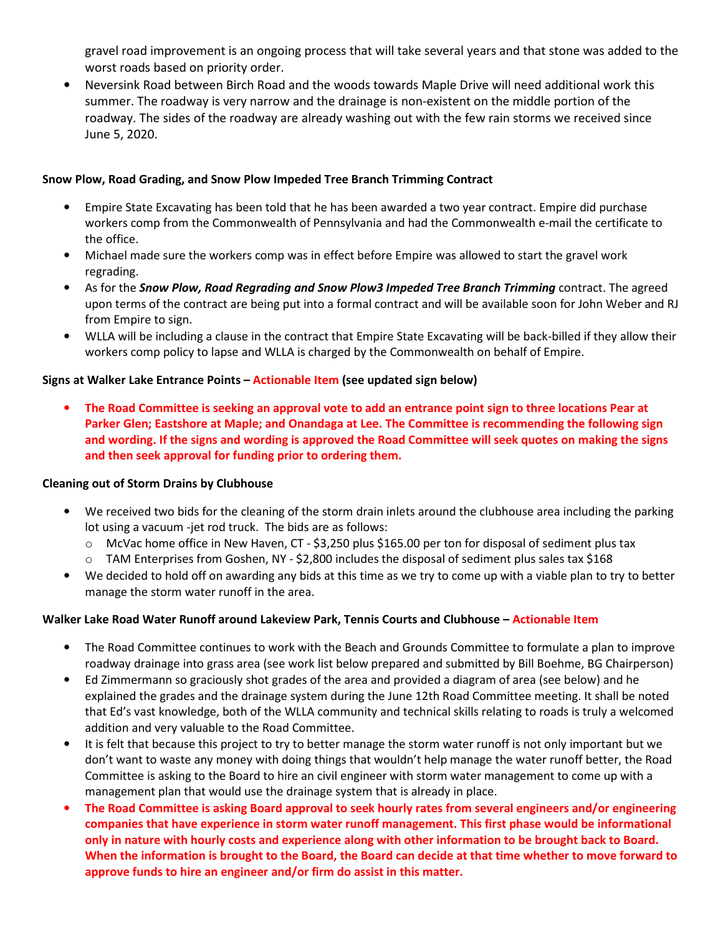gravel road improvement is an ongoing process that will take several years and that stone was added to the worst roads based on priority order.

• Neversink Road between Birch Road and the woods towards Maple Drive will need additional work this summer. The roadway is very narrow and the drainage is non-existent on the middle portion of the roadway. The sides of the roadway are already washing out with the few rain storms we received since June 5, 2020.

### Snow Plow, Road Grading, and Snow Plow Impeded Tree Branch Trimming Contract

- Empire State Excavating has been told that he has been awarded a two year contract. Empire did purchase workers comp from the Commonwealth of Pennsylvania and had the Commonwealth e-mail the certificate to the office.
- Michael made sure the workers comp was in effect before Empire was allowed to start the gravel work regrading.
- As for the Snow Plow, Road Regrading and Snow Plow3 Impeded Tree Branch Trimming contract. The agreed upon terms of the contract are being put into a formal contract and will be available soon for John Weber and RJ from Empire to sign.
- WLLA will be including a clause in the contract that Empire State Excavating will be back-billed if they allow their workers comp policy to lapse and WLLA is charged by the Commonwealth on behalf of Empire.

## Signs at Walker Lake Entrance Points – Actionable Item (see updated sign below)

• The Road Committee is seeking an approval vote to add an entrance point sign to three locations Pear at Parker Glen; Eastshore at Maple; and Onandaga at Lee. The Committee is recommending the following sign and wording. If the signs and wording is approved the Road Committee will seek quotes on making the signs and then seek approval for funding prior to ordering them.

#### Cleaning out of Storm Drains by Clubhouse

- We received two bids for the cleaning of the storm drain inlets around the clubhouse area including the parking lot using a vacuum -jet rod truck. The bids are as follows:
	- o McVac home office in New Haven, CT \$3,250 plus \$165.00 per ton for disposal of sediment plus tax
	- $\circ$  TAM Enterprises from Goshen, NY \$2,800 includes the disposal of sediment plus sales tax \$168
- We decided to hold off on awarding any bids at this time as we try to come up with a viable plan to try to better manage the storm water runoff in the area.

## Walker Lake Road Water Runoff around Lakeview Park, Tennis Courts and Clubhouse – Actionable Item

- The Road Committee continues to work with the Beach and Grounds Committee to formulate a plan to improve roadway drainage into grass area (see work list below prepared and submitted by Bill Boehme, BG Chairperson)
- Ed Zimmermann so graciously shot grades of the area and provided a diagram of area (see below) and he explained the grades and the drainage system during the June 12th Road Committee meeting. It shall be noted that Ed's vast knowledge, both of the WLLA community and technical skills relating to roads is truly a welcomed addition and very valuable to the Road Committee.
- It is felt that because this project to try to better manage the storm water runoff is not only important but we don't want to waste any money with doing things that wouldn't help manage the water runoff better, the Road Committee is asking to the Board to hire an civil engineer with storm water management to come up with a management plan that would use the drainage system that is already in place.
- The Road Committee is asking Board approval to seek hourly rates from several engineers and/or engineering companies that have experience in storm water runoff management. This first phase would be informational only in nature with hourly costs and experience along with other information to be brought back to Board. When the information is brought to the Board, the Board can decide at that time whether to move forward to approve funds to hire an engineer and/or firm do assist in this matter.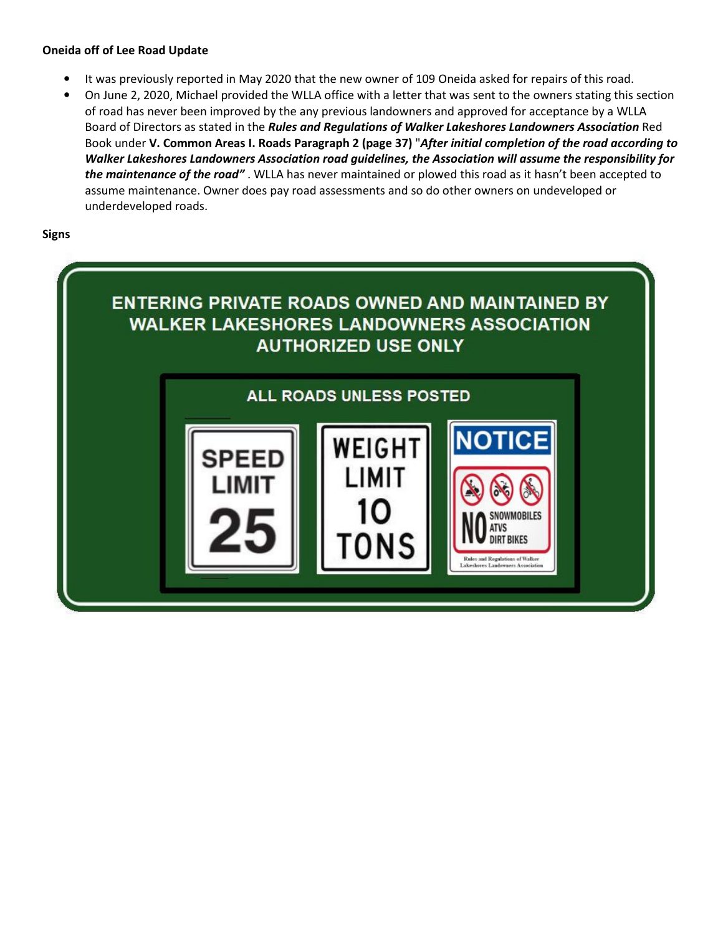#### Oneida off of Lee Road Update

- It was previously reported in May 2020 that the new owner of 109 Oneida asked for repairs of this road.
- On June 2, 2020, Michael provided the WLLA office with a letter that was sent to the owners stating this section of road has never been improved by the any previous landowners and approved for acceptance by a WLLA Board of Directors as stated in the Rules and Regulations of Walker Lakeshores Landowners Association Red Book under V. Common Areas I. Roads Paragraph 2 (page 37) "After initial completion of the road according to Walker Lakeshores Landowners Association road guidelines, the Association will assume the responsibility for the maintenance of the road". WLLA has never maintained or plowed this road as it hasn't been accepted to assume maintenance. Owner does pay road assessments and so do other owners on undeveloped or underdeveloped roads.

Signs

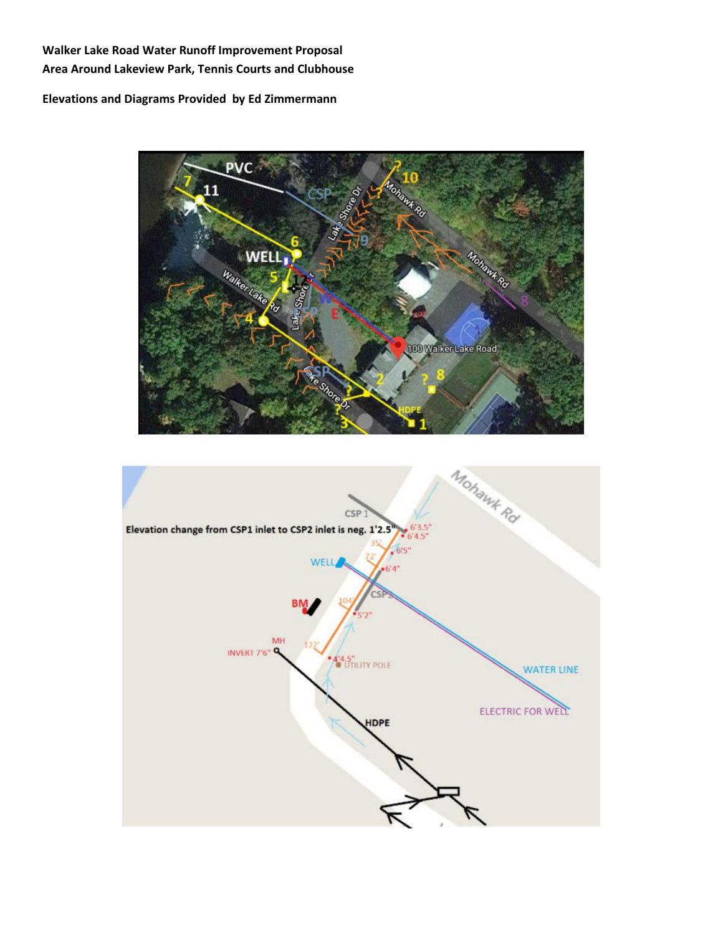# Walker Lake Road Water Runoff Improvement Proposal Area Around Lakeview Park, Tennis Courts and Clubhouse

## Elevations and Diagrams Provided by Ed Zimmermann